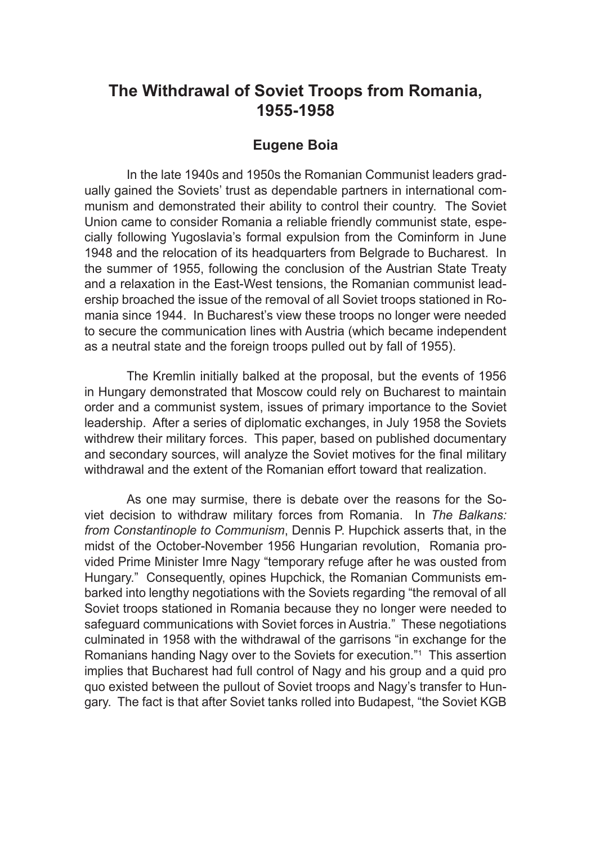# **The Withdrawal of Soviet Troops from Romania, 1955-1958**

# **Eugene Boia**

In the late 1940s and 1950s the Romanian Communist leaders gradually gained the Soviets' trust as dependable partners in international communism and demonstrated their ability to control their country. The Soviet Union came to consider Romania a reliable friendly communist state, especially following Yugoslavia's formal expulsion from the Cominform in June 1948 and the relocation of its headquarters from Belgrade to Bucharest. In the summer of 1955, following the conclusion of the Austrian State Treaty and a relaxation in the East-West tensions, the Romanian communist leadership broached the issue of the removal of all Soviet troops stationed in Romania since 1944. In Bucharest's view these troops no longer were needed to secure the communication lines with Austria (which became independent as a neutral state and the foreign troops pulled out by fall of 1955).

The Kremlin initially balked at the proposal, but the events of 1956 in Hungary demonstrated that Moscow could rely on Bucharest to maintain order and a communist system, issues of primary importance to the Soviet leadership. After a series of diplomatic exchanges, in July 1958 the Soviets withdrew their military forces. This paper, based on published documentary and secondary sources, will analyze the Soviet motives for the final military withdrawal and the extent of the Romanian effort toward that realization.

As one may surmise, there is debate over the reasons for the Soviet decision to withdraw military forces from Romania. In *The Balkans: from Constantinople to Communism*, Dennis P. Hupchick asserts that, in the midst of the October-November 1956 Hungarian revolution, Romania provided Prime Minister Imre Nagy "temporary refuge after he was ousted from Hungary." Consequently, opines Hupchick, the Romanian Communists embarked into lengthy negotiations with the Soviets regarding "the removal of all Soviet troops stationed in Romania because they no longer were needed to safeguard communications with Soviet forces in Austria." These negotiations culminated in 1958 with the withdrawal of the garrisons "in exchange for the Romanians handing Nagy over to the Soviets for execution."1 This assertion implies that Bucharest had full control of Nagy and his group and a quid pro quo existed between the pullout of Soviet troops and Nagy's transfer to Hungary. The fact is that after Soviet tanks rolled into Budapest, "the Soviet KGB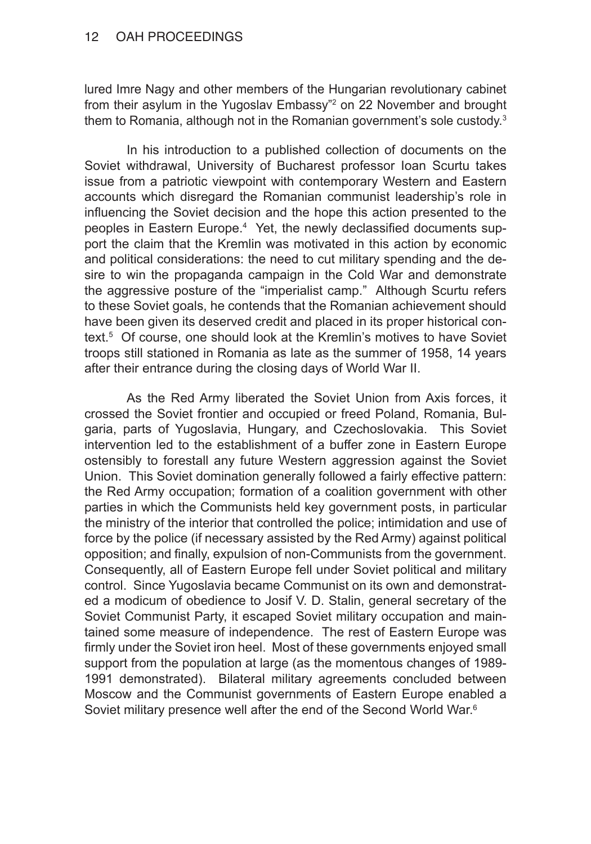lured Imre Nagy and other members of the Hungarian revolutionary cabinet from their asylum in the Yugoslav Embassy"<sup>2</sup> on 22 November and brought them to Romania, although not in the Romanian government's sole custody.3

In his introduction to a published collection of documents on the Soviet withdrawal, University of Bucharest professor Ioan Scurtu takes issue from a patriotic viewpoint with contemporary Western and Eastern accounts which disregard the Romanian communist leadership's role in influencing the Soviet decision and the hope this action presented to the peoples in Eastern Europe.<sup>4</sup> Yet, the newly declassified documents support the claim that the Kremlin was motivated in this action by economic and political considerations: the need to cut military spending and the desire to win the propaganda campaign in the Cold War and demonstrate the aggressive posture of the "imperialist camp." Although Scurtu refers to these Soviet goals, he contends that the Romanian achievement should have been given its deserved credit and placed in its proper historical context.5 Of course, one should look at the Kremlin's motives to have Soviet troops still stationed in Romania as late as the summer of 1958, 14 years after their entrance during the closing days of World War II.

As the Red Army liberated the Soviet Union from Axis forces, it crossed the Soviet frontier and occupied or freed Poland, Romania, Bulgaria, parts of Yugoslavia, Hungary, and Czechoslovakia. This Soviet intervention led to the establishment of a buffer zone in Eastern Europe ostensibly to forestall any future Western aggression against the Soviet Union. This Soviet domination generally followed a fairly effective pattern: the Red Army occupation; formation of a coalition government with other parties in which the Communists held key government posts, in particular the ministry of the interior that controlled the police; intimidation and use of force by the police (if necessary assisted by the Red Army) against political opposition; and finally, expulsion of non-Communists from the government. Consequently, all of Eastern Europe fell under Soviet political and military control. Since Yugoslavia became Communist on its own and demonstrated a modicum of obedience to Josif V. D. Stalin, general secretary of the Soviet Communist Party, it escaped Soviet military occupation and maintained some measure of independence. The rest of Eastern Europe was firmly under the Soviet iron heel. Most of these governments enjoyed small support from the population at large (as the momentous changes of 1989- 1991 demonstrated). Bilateral military agreements concluded between Moscow and the Communist governments of Eastern Europe enabled a Soviet military presence well after the end of the Second World War.<sup>6</sup>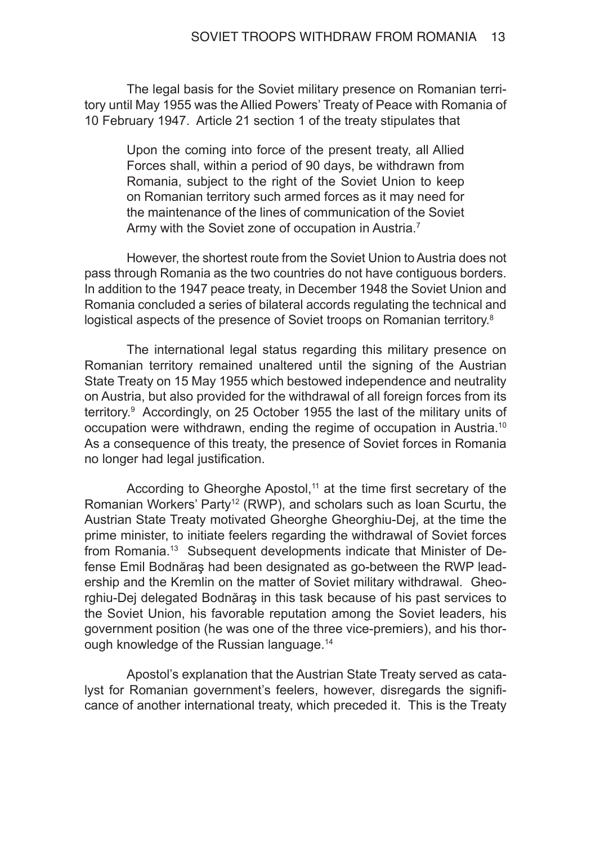The legal basis for the Soviet military presence on Romanian territory until May 1955 was the Allied Powers' Treaty of Peace with Romania of 10 February 1947. Article 21 section 1 of the treaty stipulates that

Upon the coming into force of the present treaty, all Allied Forces shall, within a period of 90 days, be withdrawn from Romania, subject to the right of the Soviet Union to keep on Romanian territory such armed forces as it may need for the maintenance of the lines of communication of the Soviet Army with the Soviet zone of occupation in Austria.<sup>7</sup>

However, the shortest route from the Soviet Union to Austria does not pass through Romania as the two countries do not have contiguous borders. In addition to the 1947 peace treaty, in December 1948 the Soviet Union and Romania concluded a series of bilateral accords regulating the technical and logistical aspects of the presence of Soviet troops on Romanian territory.<sup>8</sup>

The international legal status regarding this military presence on Romanian territory remained unaltered until the signing of the Austrian State Treaty on 15 May 1955 which bestowed independence and neutrality on Austria, but also provided for the withdrawal of all foreign forces from its territory.9 Accordingly, on 25 October 1955 the last of the military units of occupation were withdrawn, ending the regime of occupation in Austria.10 As a consequence of this treaty, the presence of Soviet forces in Romania no longer had legal justification.

According to Gheorghe Apostol, $11$  at the time first secretary of the Romanian Workers' Party<sup>12</sup> (RWP), and scholars such as Ioan Scurtu, the Austrian State Treaty motivated Gheorghe Gheorghiu-Dej, at the time the prime minister, to initiate feelers regarding the withdrawal of Soviet forces from Romania.<sup>13</sup> Subsequent developments indicate that Minister of Defense Emil Bodnăraş had been designated as go-between the RWP leadership and the Kremlin on the matter of Soviet military withdrawal. Gheorghiu-Dej delegated Bodnăraş in this task because of his past services to the Soviet Union, his favorable reputation among the Soviet leaders, his government position (he was one of the three vice-premiers), and his thorough knowledge of the Russian language.<sup>14</sup>

Apostol's explanation that the Austrian State Treaty served as catalyst for Romanian government's feelers, however, disregards the significance of another international treaty, which preceded it. This is the Treaty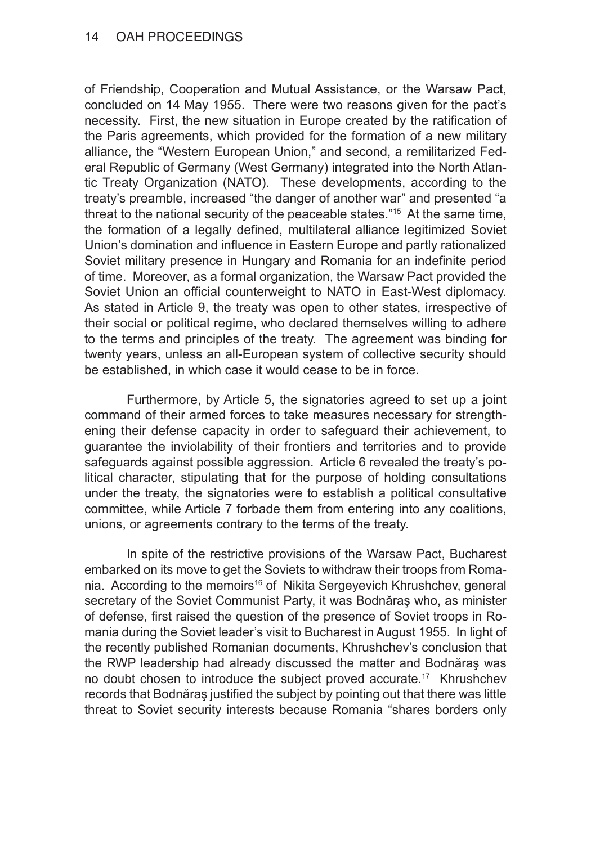of Friendship, Cooperation and Mutual Assistance, or the Warsaw Pact, concluded on 14 May 1955. There were two reasons given for the pact's necessity. First, the new situation in Europe created by the ratification of the Paris agreements, which provided for the formation of a new military alliance, the "Western European Union," and second, a remilitarized Federal Republic of Germany (West Germany) integrated into the North Atlantic Treaty Organization (NATO). These developments, according to the treaty's preamble, increased "the danger of another war" and presented "a threat to the national security of the peaceable states."15 At the same time, the formation of a legally defined, multilateral alliance legitimized Soviet Union's domination and influence in Eastern Europe and partly rationalized Soviet military presence in Hungary and Romania for an indefinite period of time. Moreover, as a formal organization, the Warsaw Pact provided the Soviet Union an official counterweight to NATO in East-West diplomacy. As stated in Article 9, the treaty was open to other states, irrespective of their social or political regime, who declared themselves willing to adhere to the terms and principles of the treaty. The agreement was binding for twenty years, unless an all-European system of collective security should be established, in which case it would cease to be in force.

Furthermore, by Article 5, the signatories agreed to set up a joint command of their armed forces to take measures necessary for strengthening their defense capacity in order to safeguard their achievement, to guarantee the inviolability of their frontiers and territories and to provide safeguards against possible aggression. Article 6 revealed the treaty's political character, stipulating that for the purpose of holding consultations under the treaty, the signatories were to establish a political consultative committee, while Article 7 forbade them from entering into any coalitions, unions, or agreements contrary to the terms of the treaty.

In spite of the restrictive provisions of the Warsaw Pact, Bucharest embarked on its move to get the Soviets to withdraw their troops from Romania. According to the memoirs<sup>16</sup> of Nikita Sergeyevich Khrushchev, general secretary of the Soviet Communist Party, it was Bodnăraş who, as minister of defense, first raised the question of the presence of Soviet troops in Romania during the Soviet leader's visit to Bucharest in August 1955. In light of the recently published Romanian documents, Khrushchev's conclusion that the RWP leadership had already discussed the matter and Bodnăraş was no doubt chosen to introduce the subject proved accurate.17 Khrushchev records that Bodnăraş justified the subject by pointing out that there was little threat to Soviet security interests because Romania "shares borders only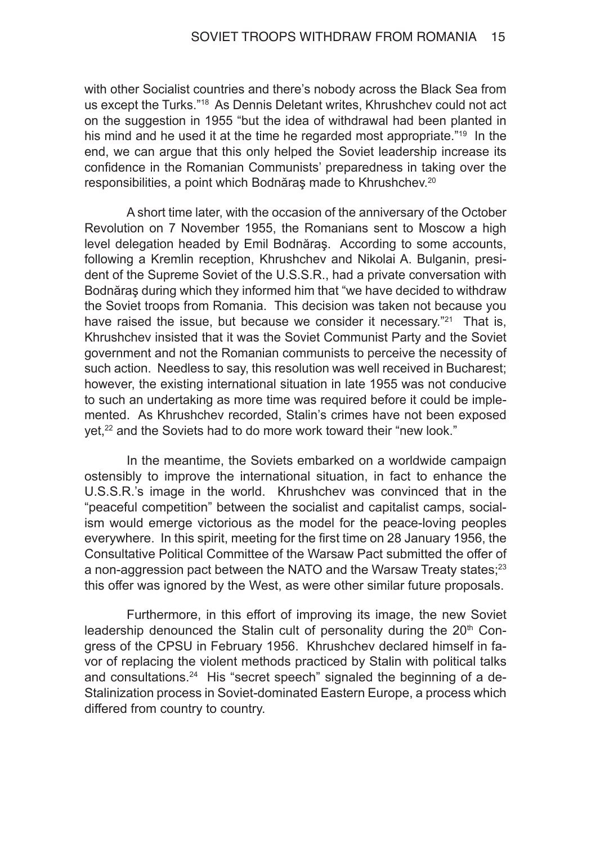with other Socialist countries and there's nobody across the Black Sea from us except the Turks."18 As Dennis Deletant writes, Khrushchev could not act on the suggestion in 1955 "but the idea of withdrawal had been planted in his mind and he used it at the time he regarded most appropriate."<sup>19</sup> In the end, we can argue that this only helped the Soviet leadership increase its confidence in the Romanian Communists' preparedness in taking over the responsibilities, a point which Bodnăraș made to Khrushchev.<sup>20</sup>

A short time later, with the occasion of the anniversary of the October Revolution on 7 November 1955, the Romanians sent to Moscow a high level delegation headed by Emil Bodnăraş. According to some accounts, following a Kremlin reception, Khrushchev and Nikolai A. Bulganin, president of the Supreme Soviet of the U.S.S.R., had a private conversation with Bodnăraş during which they informed him that "we have decided to withdraw the Soviet troops from Romania. This decision was taken not because you have raised the issue, but because we consider it necessary."<sup>21</sup> That is, Khrushchev insisted that it was the Soviet Communist Party and the Soviet government and not the Romanian communists to perceive the necessity of such action. Needless to say, this resolution was well received in Bucharest; however, the existing international situation in late 1955 was not conducive to such an undertaking as more time was required before it could be implemented. As Khrushchev recorded, Stalin's crimes have not been exposed yet,<sup>22</sup> and the Soviets had to do more work toward their "new look."

In the meantime, the Soviets embarked on a worldwide campaign ostensibly to improve the international situation, in fact to enhance the U.S.S.R.'s image in the world. Khrushchev was convinced that in the "peaceful competition" between the socialist and capitalist camps, socialism would emerge victorious as the model for the peace-loving peoples everywhere. In this spirit, meeting for the first time on 28 January 1956, the Consultative Political Committee of the Warsaw Pact submitted the offer of a non-aggression pact between the NATO and the Warsaw Treaty states;<sup>23</sup> this offer was ignored by the West, as were other similar future proposals.

Furthermore, in this effort of improving its image, the new Soviet leadership denounced the Stalin cult of personality during the 20<sup>th</sup> Congress of the CPSU in February 1956. Khrushchev declared himself in favor of replacing the violent methods practiced by Stalin with political talks and consultations.<sup>24</sup> His "secret speech" signaled the beginning of a de-Stalinization process in Soviet-dominated Eastern Europe, a process which differed from country to country.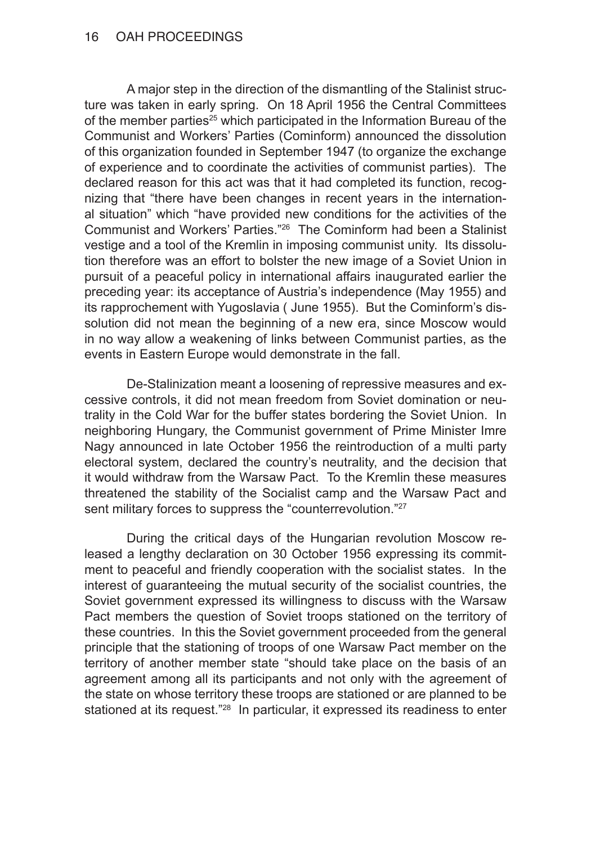A major step in the direction of the dismantling of the Stalinist structure was taken in early spring. On 18 April 1956 the Central Committees of the member parties<sup>25</sup> which participated in the Information Bureau of the Communist and Workers' Parties (Cominform) announced the dissolution of this organization founded in September 1947 (to organize the exchange of experience and to coordinate the activities of communist parties). The declared reason for this act was that it had completed its function, recognizing that "there have been changes in recent years in the international situation" which "have provided new conditions for the activities of the Communist and Workers' Parties."26 The Cominform had been a Stalinist vestige and a tool of the Kremlin in imposing communist unity. Its dissolution therefore was an effort to bolster the new image of a Soviet Union in pursuit of a peaceful policy in international affairs inaugurated earlier the preceding year: its acceptance of Austria's independence (May 1955) and its rapprochement with Yugoslavia ( June 1955). But the Cominform's dissolution did not mean the beginning of a new era, since Moscow would in no way allow a weakening of links between Communist parties, as the events in Eastern Europe would demonstrate in the fall.

De-Stalinization meant a loosening of repressive measures and excessive controls, it did not mean freedom from Soviet domination or neutrality in the Cold War for the buffer states bordering the Soviet Union. In neighboring Hungary, the Communist government of Prime Minister Imre Nagy announced in late October 1956 the reintroduction of a multi party electoral system, declared the country's neutrality, and the decision that it would withdraw from the Warsaw Pact. To the Kremlin these measures threatened the stability of the Socialist camp and the Warsaw Pact and sent military forces to suppress the "counterrevolution."<sup>27</sup>

During the critical days of the Hungarian revolution Moscow released a lengthy declaration on 30 October 1956 expressing its commitment to peaceful and friendly cooperation with the socialist states. In the interest of guaranteeing the mutual security of the socialist countries, the Soviet government expressed its willingness to discuss with the Warsaw Pact members the question of Soviet troops stationed on the territory of these countries. In this the Soviet government proceeded from the general principle that the stationing of troops of one Warsaw Pact member on the territory of another member state "should take place on the basis of an agreement among all its participants and not only with the agreement of the state on whose territory these troops are stationed or are planned to be stationed at its request."<sup>28</sup> In particular, it expressed its readiness to enter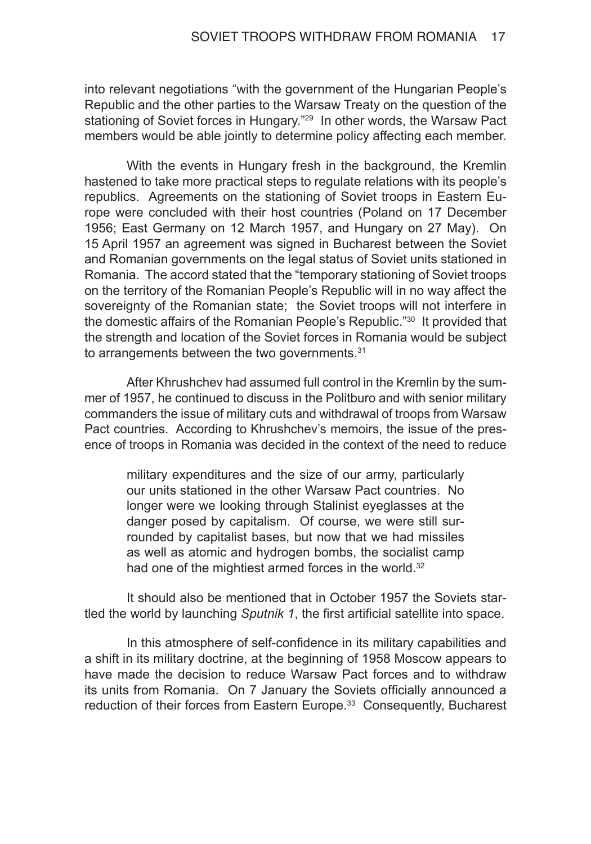into relevant negotiations "with the government of the Hungarian People's Republic and the other parties to the Warsaw Treaty on the question of the stationing of Soviet forces in Hungary."<sup>29</sup> In other words, the Warsaw Pact members would be able jointly to determine policy affecting each member.

With the events in Hungary fresh in the background, the Kremlin hastened to take more practical steps to regulate relations with its people's republics. Agreements on the stationing of Soviet troops in Eastern Europe were concluded with their host countries (Poland on 17 December 1956; East Germany on 12 March 1957, and Hungary on 27 May). On 15 April 1957 an agreement was signed in Bucharest between the Soviet and Romanian governments on the legal status of Soviet units stationed in Romania. The accord stated that the "temporary stationing of Soviet troops on the territory of the Romanian People's Republic will in no way affect the sovereignty of the Romanian state; the Soviet troops will not interfere in the domestic affairs of the Romanian People's Republic."30 It provided that the strength and location of the Soviet forces in Romania would be subject to arrangements between the two governments.<sup>31</sup>

After Khrushchev had assumed full control in the Kremlin by the summer of 1957, he continued to discuss in the Politburo and with senior military commanders the issue of military cuts and withdrawal of troops from Warsaw Pact countries. According to Khrushchev's memoirs, the issue of the presence of troops in Romania was decided in the context of the need to reduce

military expenditures and the size of our army, particularly our units stationed in the other Warsaw Pact countries. No longer were we looking through Stalinist eyeglasses at the danger posed by capitalism. Of course, we were still surrounded by capitalist bases, but now that we had missiles as well as atomic and hydrogen bombs, the socialist camp had one of the mightiest armed forces in the world.<sup>32</sup>

It should also be mentioned that in October 1957 the Soviets startled the world by launching *Sputnik 1*, the first artificial satellite into space.

In this atmosphere of self-confidence in its military capabilities and a shift in its military doctrine, at the beginning of 1958 Moscow appears to have made the decision to reduce Warsaw Pact forces and to withdraw its units from Romania. On 7 January the Soviets officially announced a reduction of their forces from Eastern Europe.33 Consequently, Bucharest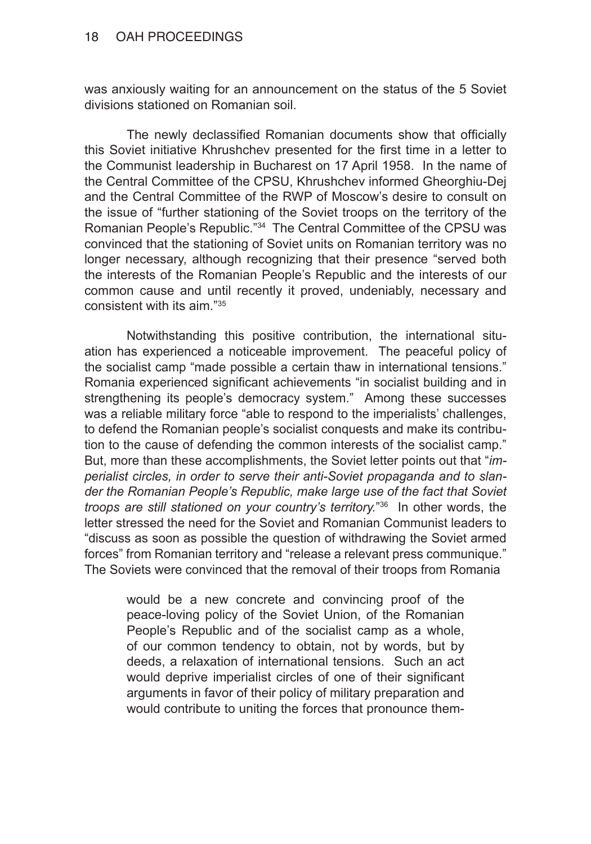was anxiously waiting for an announcement on the status of the 5 Soviet divisions stationed on Romanian soil.

The newly declassified Romanian documents show that officially this Soviet initiative Khrushchev presented for the first time in a letter to the Communist leadership in Bucharest on 17 April 1958. In the name of the Central Committee of the CPSU, Khrushchev informed Gheorghiu-Dej and the Central Committee of the RWP of Moscow's desire to consult on the issue of "further stationing of the Soviet troops on the territory of the Romanian People's Republic."34 The Central Committee of the CPSU was convinced that the stationing of Soviet units on Romanian territory was no longer necessary, although recognizing that their presence "served both the interests of the Romanian People's Republic and the interests of our common cause and until recently it proved, undeniably, necessary and consistent with its aim."35

Notwithstanding this positive contribution, the international situation has experienced a noticeable improvement. The peaceful policy of the socialist camp "made possible a certain thaw in international tensions." Romania experienced significant achievements "in socialist building and in strengthening its people's democracy system." Among these successes was a reliable military force "able to respond to the imperialists' challenges, to defend the Romanian people's socialist conquests and make its contribution to the cause of defending the common interests of the socialist camp." But, more than these accomplishments, the Soviet letter points out that "*im‑ perialist circles, in order to serve their anti‑Soviet propaganda and to slan‑ der the Romanian People's Republic, make large use of the fact that Soviet troops are still stationed on your country's territory.*"36 In other words, the letter stressed the need for the Soviet and Romanian Communist leaders to "discuss as soon as possible the question of withdrawing the Soviet armed forces" from Romanian territory and "release a relevant press communique." The Soviets were convinced that the removal of their troops from Romania

would be a new concrete and convincing proof of the peace-loving policy of the Soviet Union, of the Romanian People's Republic and of the socialist camp as a whole, of our common tendency to obtain, not by words, but by deeds, a relaxation of international tensions. Such an act would deprive imperialist circles of one of their significant arguments in favor of their policy of military preparation and would contribute to uniting the forces that pronounce them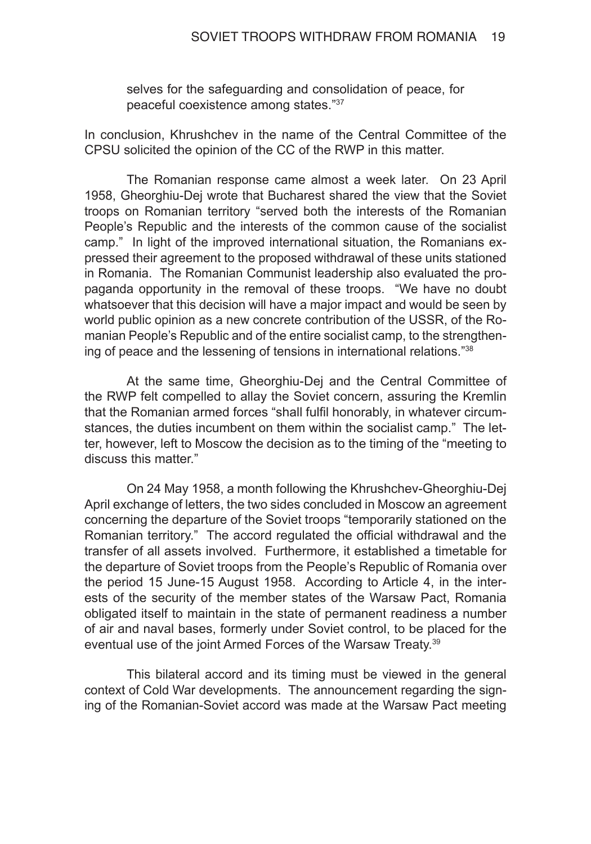selves for the safeguarding and consolidation of peace, for peaceful coexistence among states."37

In conclusion, Khrushchev in the name of the Central Committee of the CPSU solicited the opinion of the CC of the RWP in this matter.

The Romanian response came almost a week later. On 23 April 1958, Gheorghiu-Dej wrote that Bucharest shared the view that the Soviet troops on Romanian territory "served both the interests of the Romanian People's Republic and the interests of the common cause of the socialist camp." In light of the improved international situation, the Romanians expressed their agreement to the proposed withdrawal of these units stationed in Romania. The Romanian Communist leadership also evaluated the propaganda opportunity in the removal of these troops. "We have no doubt whatsoever that this decision will have a major impact and would be seen by world public opinion as a new concrete contribution of the USSR, of the Romanian People's Republic and of the entire socialist camp, to the strengthening of peace and the lessening of tensions in international relations."38

At the same time, Gheorghiu-Dej and the Central Committee of the RWP felt compelled to allay the Soviet concern, assuring the Kremlin that the Romanian armed forces "shall fulfil honorably, in whatever circumstances, the duties incumbent on them within the socialist camp." The letter, however, left to Moscow the decision as to the timing of the "meeting to discuss this matter."

On 24 May 1958, a month following the Khrushchev-Gheorghiu-Dej April exchange of letters, the two sides concluded in Moscow an agreement concerning the departure of the Soviet troops "temporarily stationed on the Romanian territory." The accord regulated the official withdrawal and the transfer of all assets involved. Furthermore, it established a timetable for the departure of Soviet troops from the People's Republic of Romania over the period 15 June-15 August 1958. According to Article 4, in the interests of the security of the member states of the Warsaw Pact, Romania obligated itself to maintain in the state of permanent readiness a number of air and naval bases, formerly under Soviet control, to be placed for the eventual use of the joint Armed Forces of the Warsaw Treaty.<sup>39</sup>

This bilateral accord and its timing must be viewed in the general context of Cold War developments. The announcement regarding the signing of the Romanian-Soviet accord was made at the Warsaw Pact meeting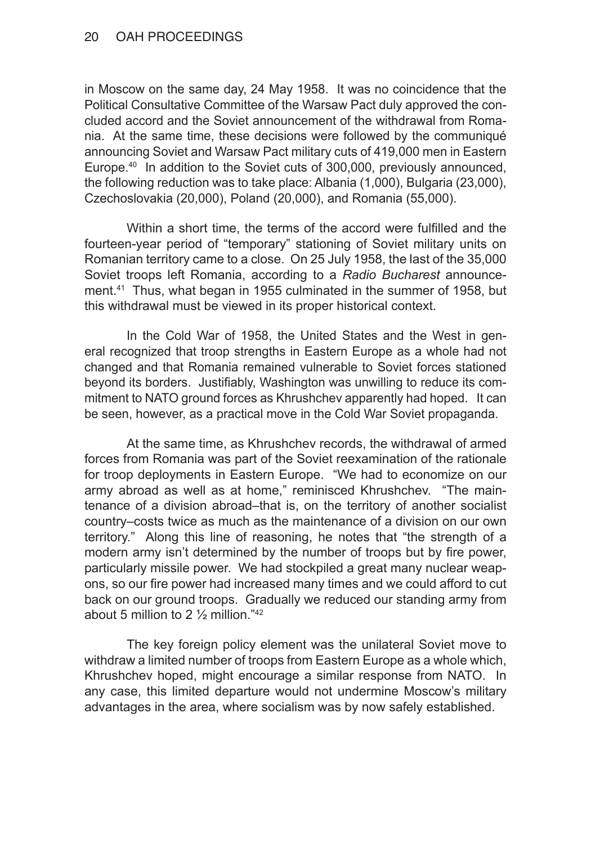in Moscow on the same day, 24 May 1958. It was no coincidence that the Political Consultative Committee of the Warsaw Pact duly approved the concluded accord and the Soviet announcement of the withdrawal from Romania. At the same time, these decisions were followed by the communiqué announcing Soviet and Warsaw Pact military cuts of 419,000 men in Eastern Europe.40 In addition to the Soviet cuts of 300,000, previously announced, the following reduction was to take place: Albania (1,000), Bulgaria (23,000), Czechoslovakia (20,000), Poland (20,000), and Romania (55,000).

Within a short time, the terms of the accord were fulfilled and the fourteen-year period of "temporary" stationing of Soviet military units on Romanian territory came to a close. On 25 July 1958, the last of the 35,000 Soviet troops left Romania, according to a *Radio Bucharest* announcement.41 Thus, what began in 1955 culminated in the summer of 1958, but this withdrawal must be viewed in its proper historical context.

In the Cold War of 1958, the United States and the West in general recognized that troop strengths in Eastern Europe as a whole had not changed and that Romania remained vulnerable to Soviet forces stationed beyond its borders. Justifiably, Washington was unwilling to reduce its commitment to NATO ground forces as Khrushchev apparently had hoped. It can be seen, however, as a practical move in the Cold War Soviet propaganda.

At the same time, as Khrushchev records, the withdrawal of armed forces from Romania was part of the Soviet reexamination of the rationale for troop deployments in Eastern Europe. "We had to economize on our army abroad as well as at home," reminisced Khrushchev. "The maintenance of a division abroad–that is, on the territory of another socialist country–costs twice as much as the maintenance of a division on our own territory." Along this line of reasoning, he notes that "the strength of a modern army isn't determined by the number of troops but by fire power, particularly missile power. We had stockpiled a great many nuclear weapons, so our fire power had increased many times and we could afford to cut back on our ground troops. Gradually we reduced our standing army from about 5 million to 2 ½ million."42

The key foreign policy element was the unilateral Soviet move to withdraw a limited number of troops from Eastern Europe as a whole which, Khrushchev hoped, might encourage a similar response from NATO. In any case, this limited departure would not undermine Moscow's military advantages in the area, where socialism was by now safely established.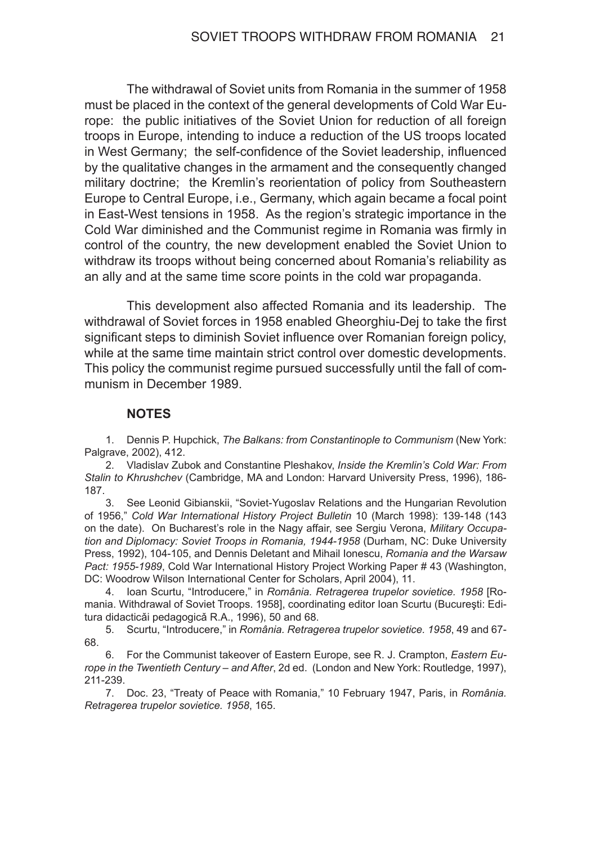The withdrawal of Soviet units from Romania in the summer of 1958 must be placed in the context of the general developments of Cold War Europe: the public initiatives of the Soviet Union for reduction of all foreign troops in Europe, intending to induce a reduction of the US troops located in West Germany; the self-confidence of the Soviet leadership, influenced by the qualitative changes in the armament and the consequently changed military doctrine; the Kremlin's reorientation of policy from Southeastern Europe to Central Europe, i.e., Germany, which again became a focal point in East-West tensions in 1958. As the region's strategic importance in the Cold War diminished and the Communist regime in Romania was firmly in control of the country, the new development enabled the Soviet Union to withdraw its troops without being concerned about Romania's reliability as an ally and at the same time score points in the cold war propaganda.

This development also affected Romania and its leadership. The withdrawal of Soviet forces in 1958 enabled Gheorghiu-Dej to take the first significant steps to diminish Soviet influence over Romanian foreign policy, while at the same time maintain strict control over domestic developments. This policy the communist regime pursued successfully until the fall of communism in December 1989.

## **NOTES**

1. Dennis P. Hupchick, *The Balkans: from Constantinople to Communism* (New York: Palgrave, 2002), 412.

2. Vladislav Zubok and Constantine Pleshakov, *Inside the Kremlin's Cold War: From Stalin to Khrushchev* (Cambridge, MA and London: Harvard University Press, 1996), 186- 187.

3. See Leonid Gibianskii, "Soviet-Yugoslav Relations and the Hungarian Revolution of 1956," *Cold War International History Project Bulletin* 10 (March 1998): 139-148 (143 on the date). On Bucharest's role in the Nagy affair, see Sergiu Verona, *Military Occupa‑ tion and Diplomacy: Soviet Troops in Romania, 1944-1958* (Durham, NC: Duke University Press, 1992), 104-105, and Dennis Deletant and Mihail Ionescu, *Romania and the Warsaw Pact: 1955-1989*, Cold War International History Project Working Paper # 43 (Washington, DC: Woodrow Wilson International Center for Scholars, April 2004), 11.

4. Ioan Scurtu, "Introducere," in *România. Retragerea trupelor sovietice. 1958* [Romania. Withdrawal of Soviet Troops. 1958], coordinating editor Ioan Scurtu (Bucureşti: Editura didacticǎi pedagogicǎ R.A., 1996), 50 and 68.

5. Scurtu, "Introducere," in *România. Retragerea trupelor sovietice. 1958*, 49 and 67- 68.

6. For the Communist takeover of Eastern Europe, see R. J. Crampton, *Eastern Eu‑ rope in the Twentieth Century – and After*, 2d ed. (London and New York: Routledge, 1997), 211-239.

7. Doc. 23, "Treaty of Peace with Romania," 10 February 1947, Paris, in *România. Retragerea trupelor sovietice. 1958*, 165.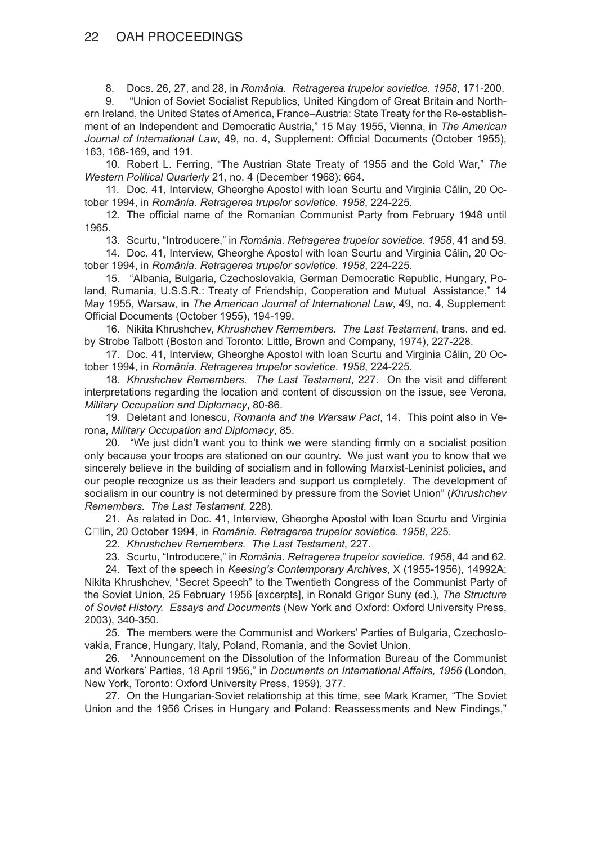8. Docs. 26, 27, and 28, in *România. Retragerea trupelor sovietice. 1958*, 171-200.

9. "Union of Soviet Socialist Republics, United Kingdom of Great Britain and Northern Ireland, the United States of America, France–Austria: State Treaty for the Re-establishment of an Independent and Democratic Austria," 15 May 1955, Vienna, in *The American Journal of International Law*, 49, no. 4, Supplement: Official Documents (October 1955), 163, 168-169, and 191.

10. Robert L. Ferring, "The Austrian State Treaty of 1955 and the Cold War," *The Western Political Quarterly* 21, no. 4 (December 1968): 664.

11. Doc. 41, Interview, Gheorghe Apostol with Ioan Scurtu and Virginia Cǎlin, 20 October 1994, in *România. Retragerea trupelor sovietice. 1958*, 224-225.

12. The official name of the Romanian Communist Party from February 1948 until 1965.

13. Scurtu, "Introducere," in *România. Retragerea trupelor sovietice. 1958*, 41 and 59.

14. Doc. 41, Interview, Gheorghe Apostol with Ioan Scurtu and Virginia Cǎlin, 20 October 1994, in *România. Retragerea trupelor sovietice. 1958*, 224-225.

15. "Albania, Bulgaria, Czechoslovakia, German Democratic Republic, Hungary, Poland, Rumania, U.S.S.R.: Treaty of Friendship, Cooperation and Mutual Assistance," 14 May 1955, Warsaw, in *The American Journal of International Law*, 49, no. 4, Supplement: Official Documents (October 1955), 194-199.

16. Nikita Khrushchev, *Khrushchev Remembers. The Last Testament*, trans. and ed. by Strobe Talbott (Boston and Toronto: Little, Brown and Company, 1974), 227-228.

17. Doc. 41, Interview, Gheorghe Apostol with Ioan Scurtu and Virginia Cǎlin, 20 October 1994, in *România. Retragerea trupelor sovietice. 1958*, 224-225.

18. *Khrushchev Remembers. The Last Testament*, 227. On the visit and different interpretations regarding the location and content of discussion on the issue, see Verona, *Military Occupation and Diplomacy*, 80-86.

19. Deletant and Ionescu, *Romania and the Warsaw Pact*, 14. This point also in Verona, *Military Occupation and Diplomacy*, 85.

20. "We just didn't want you to think we were standing firmly on a socialist position only because your troops are stationed on our country. We just want you to know that we sincerely believe in the building of socialism and in following Marxist-Leninist policies, and our people recognize us as their leaders and support us completely. The development of socialism in our country is not determined by pressure from the Soviet Union" (*Khrushchev Remembers. The Last Testament*, 228).

21. As related in Doc. 41, Interview, Gheorghe Apostol with Ioan Scurtu and Virginia Clin, 20 October 1994, in *România. Retragerea trupelor sovietice. 1958*, 225.

22. *Khrushchev Remembers. The Last Testament*, 227.

23. Scurtu, "Introducere," in *România. Retragerea trupelor sovietice. 1958*, 44 and 62.

24. Text of the speech in *Keesing's Contemporary Archives*, X (1955-1956), 14992A; Nikita Khrushchev, "Secret Speech" to the Twentieth Congress of the Communist Party of the Soviet Union, 25 February 1956 [excerpts], in Ronald Grigor Suny (ed.), *The Structure of Soviet History. Essays and Documents* (New York and Oxford: Oxford University Press, 2003), 340-350.

25. The members were the Communist and Workers' Parties of Bulgaria, Czechoslovakia, France, Hungary, Italy, Poland, Romania, and the Soviet Union.

26. "Announcement on the Dissolution of the Information Bureau of the Communist and Workers' Parties, 18 April 1956," in *Documents on International Affairs, 1956* (London, New York, Toronto: Oxford University Press, 1959), 377.

27. On the Hungarian-Soviet relationship at this time, see Mark Kramer, "The Soviet Union and the 1956 Crises in Hungary and Poland: Reassessments and New Findings,"